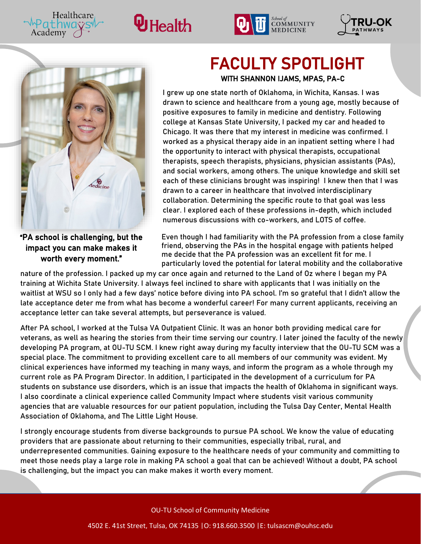







Healthcare

Academy

"PA school is challenging, but the impact you can make makes it worth every moment."

### FACULTY SPOTLIGHT WITH SHANNON IJAMS, MPAS, PA-C

I grew up one state north of Oklahoma, in Wichita, Kansas. I was drawn to science and healthcare from a young age, mostly because of positive exposures to family in medicine and dentistry. Following college at Kansas State University, I packed my car and headed to Chicago. It was there that my interest in medicine was confirmed. I worked as a physical therapy aide in an inpatient setting where I had the opportunity to interact with physical therapists, occupational therapists, speech therapists, physicians, physician assistants (PAs), and social workers, among others. The unique knowledge and skill set each of these clinicians brought was inspiring! I knew then that I was drawn to a career in healthcare that involved interdisciplinary collaboration. Determining the specific route to that goal was less clear. I explored each of these professions in-depth, which included numerous discussions with co-workers, and LOTS of coffee.

Even though I had familiarity with the PA profession from a close family friend, observing the PAs in the hospital engage with patients helped me decide that the PA profession was an excellent fit for me. I particularly loved the potential for lateral mobility and the collaborative

nature of the profession. I packed up my car once again and returned to the Land of Oz where I began my PA training at Wichita State University. I always feel inclined to share with applicants that I was initially on the waitlist at WSU so I only had a few days' notice before diving into PA school. I'm so grateful that I didn't allow the late acceptance deter me from what has become a wonderful career! For many current applicants, receiving an acceptance letter can take several attempts, but perseverance is valued.

After PA school, I worked at the Tulsa VA Outpatient Clinic. It was an honor both providing medical care for veterans, as well as hearing the stories from their time serving our country. I later joined the faculty of the newly developing PA program, at OU-TU SCM. I knew right away during my faculty interview that the OU-TU SCM was a special place. The commitment to providing excellent care to all members of our community was evident. My clinical experiences have informed my teaching in many ways, and inform the program as a whole through my current role as PA Program Director. In addition, I participated in the development of a curriculum for PA students on substance use disorders, which is an issue that impacts the health of Oklahoma in significant ways. I also coordinate a clinical experience called Community Impact where students visit various community agencies that are valuable resources for our patient population, including the Tulsa Day Center, Mental Health Association of Oklahoma, and The Little Light House.

I strongly encourage students from diverse backgrounds to pursue PA school. We know the value of educating providers that are passionate about returning to their communities, especially tribal, rural, and underrepresented communities. Gaining exposure to the healthcare needs of your community and committing to meet those needs play a large role in making PA school a goal that can be achieved! Without a doubt, PA school is challenging, but the impact you can make makes it worth every moment.

OU-TU School of Community Medicine